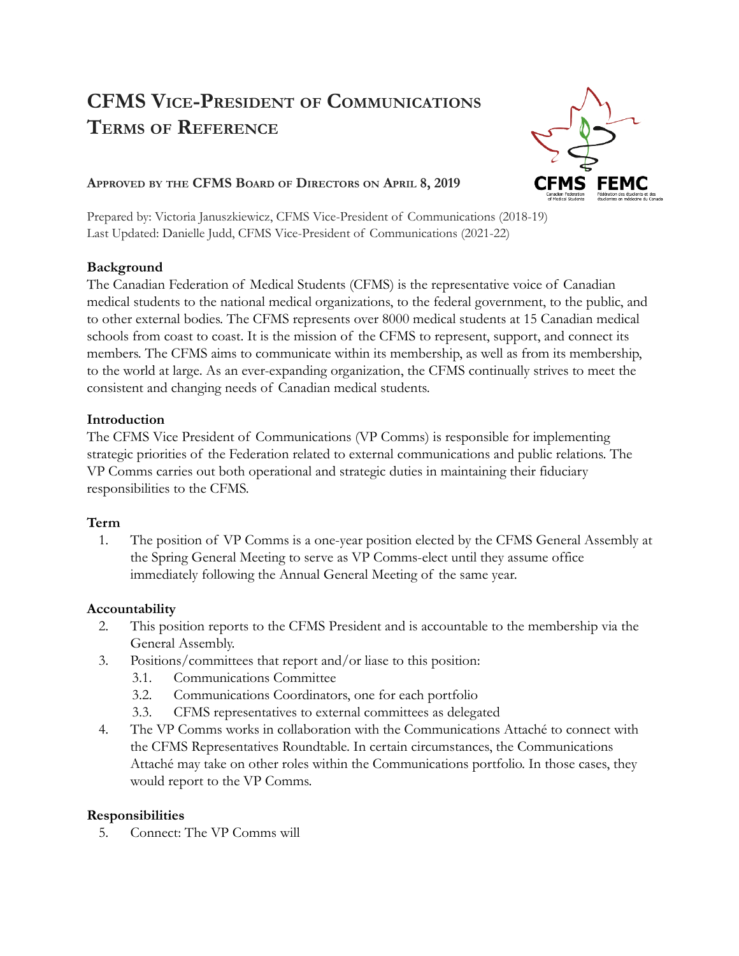# **CFMS VICE-PRESIDENT OF COMMUNICATIONS TERMS OF REFERENCE**



## **APPROVED BY THE CFMS BOARD OF DIRECTORS ON APRIL 8, 2019**

Prepared by: Victoria Januszkiewicz, CFMS Vice-President of Communications (2018-19) Last Updated: Danielle Judd, CFMS Vice-President of Communications (2021-22)

### **Background**

The Canadian Federation of Medical Students (CFMS) is the representative voice of Canadian medical students to the national medical organizations, to the federal government, to the public, and to other external bodies. The CFMS represents over 8000 medical students at 15 Canadian medical schools from coast to coast. It is the mission of the CFMS to represent, support, and connect its members. The CFMS aims to communicate within its membership, as well as from its membership, to the world at large. As an ever-expanding organization, the CFMS continually strives to meet the consistent and changing needs of Canadian medical students.

### **Introduction**

The CFMS Vice President of Communications (VP Comms) is responsible for implementing strategic priorities of the Federation related to external communications and public relations. The VP Comms carries out both operational and strategic duties in maintaining their fiduciary responsibilities to the CFMS.

## **Term**

1. The position of VP Comms is a one-year position elected by the CFMS General Assembly at the Spring General Meeting to serve as VP Comms-elect until they assume office immediately following the Annual General Meeting of the same year.

## **Accountability**

- 2. This position reports to the CFMS President and is accountable to the membership via the General Assembly.
- 3. Positions/committees that report and/or liase to this position:
	- 3.1. Communications Committee
	- 3.2. Communications Coordinators, one for each portfolio
	- 3.3. CFMS representatives to external committees as delegated
- 4. The VP Comms works in collaboration with the Communications Attaché to connect with the CFMS Representatives Roundtable. In certain circumstances, the Communications Attaché may take on other roles within the Communications portfolio. In those cases, they would report to the VP Comms.

#### **Responsibilities**

5. Connect: The VP Comms will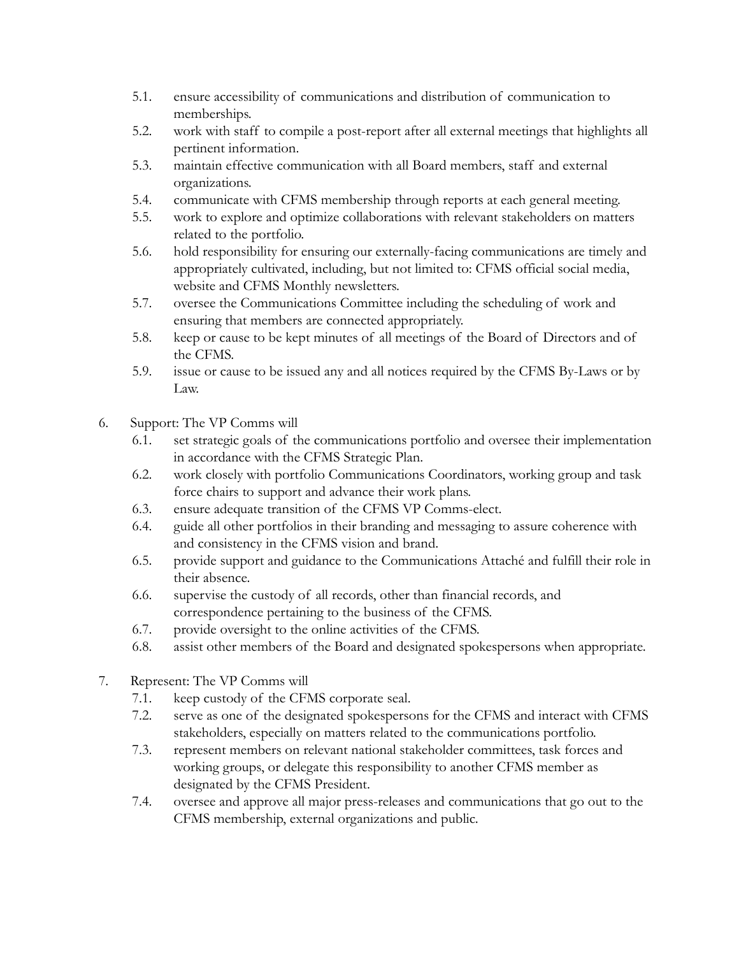- 5.1. ensure accessibility of communications and distribution of communication to memberships.
- 5.2. work with staff to compile a post-report after all external meetings that highlights all pertinent information.
- 5.3. maintain effective communication with all Board members, staff and external organizations.
- 5.4. communicate with CFMS membership through reports at each general meeting.
- 5.5. work to explore and optimize collaborations with relevant stakeholders on matters related to the portfolio.
- 5.6. hold responsibility for ensuring our externally-facing communications are timely and appropriately cultivated, including, but not limited to: CFMS official social media, website and CFMS Monthly newsletters.
- 5.7. oversee the Communications Committee including the scheduling of work and ensuring that members are connected appropriately.
- 5.8. keep or cause to be kept minutes of all meetings of the Board of Directors and of the CFMS.
- 5.9. issue or cause to be issued any and all notices required by the CFMS By-Laws or by Law.
- 6. Support: The VP Comms will
	- 6.1. set strategic goals of the communications portfolio and oversee their implementation in accordance with the CFMS Strategic Plan.
	- 6.2. work closely with portfolio Communications Coordinators, working group and task force chairs to support and advance their work plans.
	- 6.3. ensure adequate transition of the CFMS VP Comms-elect.
	- 6.4. guide all other portfolios in their branding and messaging to assure coherence with and consistency in the CFMS vision and brand.
	- 6.5. provide support and guidance to the Communications Attaché and fulfill their role in their absence.
	- 6.6. supervise the custody of all records, other than financial records, and correspondence pertaining to the business of the CFMS.
	- 6.7. provide oversight to the online activities of the CFMS.
	- 6.8. assist other members of the Board and designated spokespersons when appropriate.
- 7. Represent: The VP Comms will
	- 7.1. keep custody of the CFMS corporate seal.
	- 7.2. serve as one of the designated spokespersons for the CFMS and interact with CFMS stakeholders, especially on matters related to the communications portfolio.
	- 7.3. represent members on relevant national stakeholder committees, task forces and working groups, or delegate this responsibility to another CFMS member as designated by the CFMS President.
	- 7.4. oversee and approve all major press-releases and communications that go out to the CFMS membership, external organizations and public.